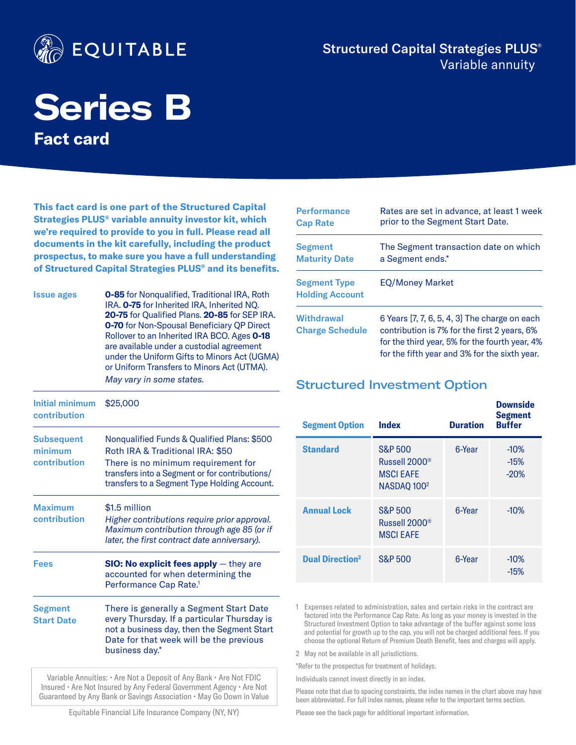

# Structured Capital Strategies PLUS® Variable annuity

# **Series B Fact card**

**This fact card is one part of the Structured Capital Strategies PLUS® variable annuity investor kit, which we're required to provide to you in full. Please read all documents in the kit carefully, including the product prospectus, to make sure you have a full understanding of Structured Capital Strategies PLUS® and its benefits.**

Issue ages **0-85** for Nonqualified, Traditional IRA, Roth IRA. **0-75** for Inherited IRA, Inherited NQ. **20-75** for Qualified Plans. **20-85** for SEP IRA. **0-70** for Non-Spousal Beneficiary QP Direct Rollover to an Inherited IRA BCO. Ages **0-18** are available under a custodial agreement under the Uniform Gifts to Minors Act (UGMA) or Uniform Transfers to Minors Act (UTMA). *May vary in some states.*

| Initial minimum<br>contribution              | \$25,000                                                                                                                                                                                                                 |
|----------------------------------------------|--------------------------------------------------------------------------------------------------------------------------------------------------------------------------------------------------------------------------|
| <b>Subsequent</b><br>minimum<br>contribution | Nonqualified Funds & Qualified Plans: \$500<br>Roth IRA & Traditional IRA: \$50<br>There is no minimum requirement for<br>transfers into a Segment or for contributions/<br>transfers to a Segment Type Holding Account. |
| <b>Maximum</b><br>contribution               | \$1.5 million<br>Higher contributions require prior approval.<br>Maximum contribution through age 85 (or if<br>later, the first contract date anniversary).                                                              |
| Fees                                         | <b>SIO: No explicit fees apply</b> $-$ they are<br>accounted for when determining the<br>Performance Cap Rate. <sup>1</sup>                                                                                              |
| Segment<br><b>Start Date</b>                 | There is generally a Segment Start Date<br>every Thursday. If a particular Thursday is<br>not a business day, then the Segment Start<br>Date for that week will be the previous<br>business day.*                        |

Variable Annuities: • Are Not a Deposit of Any Bank • Are Not FDIC Insured • Are Not Insured by Any Federal Government Agency • Are Not Guaranteed by Any Bank or Savings Association • May Go Down in Value

| <b>Performance</b>                            | Rates are set in advance, at least 1 week                                                                                                                                                        |
|-----------------------------------------------|--------------------------------------------------------------------------------------------------------------------------------------------------------------------------------------------------|
| <b>Cap Rate</b>                               | prior to the Segment Start Date.                                                                                                                                                                 |
| <b>Segment</b>                                | The Segment transaction date on which                                                                                                                                                            |
| <b>Maturity Date</b>                          | a Segment ends.*                                                                                                                                                                                 |
| <b>Segment Type</b><br><b>Holding Account</b> | <b>EQ/Money Market</b>                                                                                                                                                                           |
| Withdrawal<br><b>Charge Schedule</b>          | 6 Years [7, 7, 6, 5, 4, 3] The charge on each<br>contribution is 7% for the first 2 years, 6%<br>for the third year, 5% for the fourth year, 4%<br>for the fifth year and 3% for the sixth year. |

# Structured Investment Option

| <b>Segment Option</b>             | <b>Index</b>                                                                                   | <b>Duration</b> | <b>Downside</b><br><b>Segment</b><br><b>Buffer</b> |
|-----------------------------------|------------------------------------------------------------------------------------------------|-----------------|----------------------------------------------------|
| <b>Standard</b>                   | <b>S&amp;P 500</b><br>Russell 2000 <sup>®</sup><br><b>MSCI EAFE</b><br>NASDAQ 100 <sup>2</sup> | 6-Year          | $-10%$<br>$-15%$<br>$-20%$                         |
| <b>Annual Lock</b>                | <b>S&amp;P 500</b><br>Russell 2000 <sup>®</sup><br><b>MSCI EAFE</b>                            | 6-Year          | $-10%$                                             |
| <b>Dual Direction<sup>2</sup></b> | <b>S&amp;P 500</b>                                                                             | 6-Year          | $-10\%$<br>$-15%$                                  |

1 Expenses related to administration, sales and certain risks in the contract are factored into the Performance Cap Rate. As long as your money is invested in the Structured Investment Option to take advantage of the buffer against some loss and potential for growth up to the cap, you will not be charged additional fees. If you choose the optional Return of Premium Death Benefit, fees and charges will apply.

2 May not be available in all jurisdictions.

\*Refer to the prospectus for treatment of holidays.

Individuals cannot invest directly in an index.

Please note that due to spacing constraints, the index names in the chart above may have been abbreviated. For full index names, please refer to the important terms section.

Please see the back page for additional important information.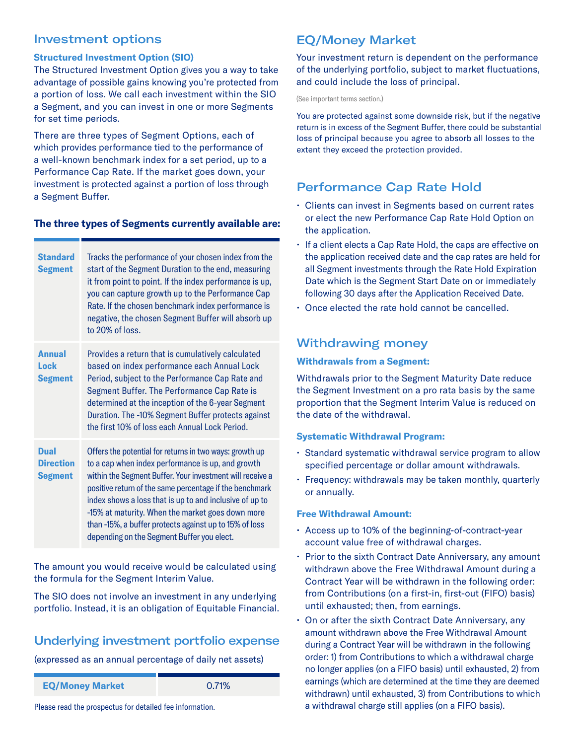# Investment options

#### **Structured Investment Option (SIO)**

The Structured Investment Option gives you a way to take advantage of possible gains knowing you're protected from a portion of loss. We call each investment within the SIO a Segment, and you can invest in one or more Segments for set time periods.

There are three types of Segment Options, each of which provides performance tied to the performance of a well-known benchmark index for a set period, up to a Performance Cap Rate. If the market goes down, your investment is protected against a portion of loss through a Segment Buffer.

#### **The three types of Segments currently available are:**

| <b>Standard</b><br><b>Segment</b>                 | Tracks the performance of your chosen index from the<br>start of the Segment Duration to the end, measuring<br>it from point to point. If the index performance is up,<br>you can capture growth up to the Performance Cap<br>Rate. If the chosen benchmark index performance is<br>negative, the chosen Segment Buffer will absorb up<br>to 20% of loss.                                                                                                   |
|---------------------------------------------------|-------------------------------------------------------------------------------------------------------------------------------------------------------------------------------------------------------------------------------------------------------------------------------------------------------------------------------------------------------------------------------------------------------------------------------------------------------------|
| <b>Annual</b><br>Lock<br><b>Segment</b>           | Provides a return that is cumulatively calculated<br>based on index performance each Annual Lock<br>Period, subject to the Performance Cap Rate and<br>Segment Buffer. The Performance Cap Rate is<br>determined at the inception of the 6-year Segment<br>Duration. The -10% Segment Buffer protects against<br>the first 10% of loss each Annual Lock Period.                                                                                             |
| <b>Dual</b><br><b>Direction</b><br><b>Segment</b> | Offers the potential for returns in two ways: growth up<br>to a cap when index performance is up, and growth<br>within the Segment Buffer. Your investment will receive a<br>positive return of the same percentage if the benchmark<br>index shows a loss that is up to and inclusive of up to<br>-15% at maturity. When the market goes down more<br>than -15%, a buffer protects against up to 15% of loss<br>depending on the Segment Buffer you elect. |

The amount you would receive would be calculated using the formula for the Segment Interim Value.

The SIO does not involve an investment in any underlying portfolio. Instead, it is an obligation of Equitable Financial.

# Underlying investment portfolio expense

(expressed as an annual percentage of daily net assets)

**EQ/Money Market** 0.71%

Please read the prospectus for detailed fee information.

# EQ/Money Market

Your investment return is dependent on the performance of the underlying portfolio, subject to market fluctuations, and could include the loss of principal.

(See important terms section.)

You are protected against some downside risk, but if the negative return is in excess of the Segment Buffer, there could be substantial loss of principal because you agree to absorb all losses to the extent they exceed the protection provided.

# Performance Cap Rate Hold

- Clients can invest in Segments based on current rates or elect the new Performance Cap Rate Hold Option on the application.
- If a client elects a Cap Rate Hold, the caps are effective on the application received date and the cap rates are held for all Segment investments through the Rate Hold Expiration Date which is the Segment Start Date on or immediately following 30 days after the Application Received Date.
- Once elected the rate hold cannot be cancelled.

# Withdrawing money

#### **Withdrawals from a Segment:**

Withdrawals prior to the Segment Maturity Date reduce the Segment Investment on a pro rata basis by the same proportion that the Segment Interim Value is reduced on the date of the withdrawal.

#### **Systematic Withdrawal Program:**

- Standard systematic withdrawal service program to allow specified percentage or dollar amount withdrawals.
- Frequency: withdrawals may be taken monthly, quarterly or annually.

#### **Free Withdrawal Amount:**

- Access up to 10% of the beginning-of-contract-year account value free of withdrawal charges.
- Prior to the sixth Contract Date Anniversary, any amount withdrawn above the Free Withdrawal Amount during a Contract Year will be withdrawn in the following order: from Contributions (on a first-in, first-out (FIFO) basis) until exhausted; then, from earnings.
- On or after the sixth Contract Date Anniversary, any amount withdrawn above the Free Withdrawal Amount during a Contract Year will be withdrawn in the following order: 1) from Contributions to which a withdrawal charge no longer applies (on a FIFO basis) until exhausted, 2) from earnings (which are determined at the time they are deemed withdrawn) until exhausted, 3) from Contributions to which a withdrawal charge still applies (on a FIFO basis).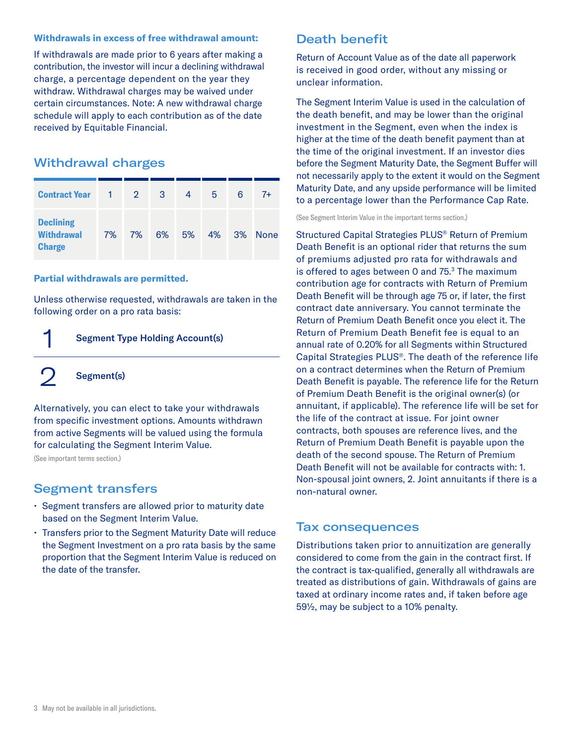#### **Withdrawals in excess of free withdrawal amount:**

If withdrawals are made prior to 6 years after making a contribution, the investor will incur a declining withdrawal charge, a percentage dependent on the year they withdraw. Withdrawal charges may be waived under certain circumstances. Note: A new withdrawal charge schedule will apply to each contribution as of the date received by Equitable Financial.

# Withdrawal charges

| <b>Contract Year</b>                                   | 1  | $\overline{2}$ | 3  | 4  | 5  | 6  | $7+$        |
|--------------------------------------------------------|----|----------------|----|----|----|----|-------------|
| <b>Declining</b><br><b>Withdrawal</b><br><b>Charge</b> | 7% | 7%             | 6% | 5% | 4% | 3% | <b>None</b> |

#### **Partial withdrawals are permitted.**

Unless otherwise requested, withdrawals are taken in the following order on a pro rata basis:

# 1 Segment Type Holding Account(s)

2 Segment(s)

Alternatively, you can elect to take your withdrawals from specific investment options. Amounts withdrawn from active Segments will be valued using the formula for calculating the Segment Interim Value.

(See important terms section.)

# Segment transfers

- Segment transfers are allowed prior to maturity date based on the Segment Interim Value.
- Transfers prior to the Segment Maturity Date will reduce the Segment Investment on a pro rata basis by the same proportion that the Segment Interim Value is reduced on the date of the transfer.

# Death benefit

Return of Account Value as of the date all paperwork is received in good order, without any missing or unclear information.

The Segment Interim Value is used in the calculation of the death benefit, and may be lower than the original investment in the Segment, even when the index is higher at the time of the death benefit payment than at the time of the original investment. If an investor dies before the Segment Maturity Date, the Segment Buffer will not necessarily apply to the extent it would on the Segment Maturity Date, and any upside performance will be limited to a percentage lower than the Performance Cap Rate.

(See Segment Interim Value in the important terms section.)

Structured Capital Strategies PLUS® Return of Premium Death Benefit is an optional rider that returns the sum of premiums adjusted pro rata for withdrawals and is offered to ages between 0 and  $75.3$  The maximum contribution age for contracts with Return of Premium Death Benefit will be through age 75 or, if later, the first contract date anniversary. You cannot terminate the Return of Premium Death Benefit once you elect it. The Return of Premium Death Benefit fee is equal to an annual rate of 0.20% for all Segments within Structured Capital Strategies PLUS®. The death of the reference life on a contract determines when the Return of Premium Death Benefit is payable. The reference life for the Return of Premium Death Benefit is the original owner(s) (or annuitant, if applicable). The reference life will be set for the life of the contract at issue. For joint owner contracts, both spouses are reference lives, and the Return of Premium Death Benefit is payable upon the death of the second spouse. The Return of Premium Death Benefit will not be available for contracts with: 1. Non-spousal joint owners, 2. Joint annuitants if there is a non-natural owner.

### Tax consequences

Distributions taken prior to annuitization are generally considered to come from the gain in the contract first. If the contract is tax-qualified, generally all withdrawals are treated as distributions of gain. Withdrawals of gains are taxed at ordinary income rates and, if taken before age 59½, may be subject to a 10% penalty.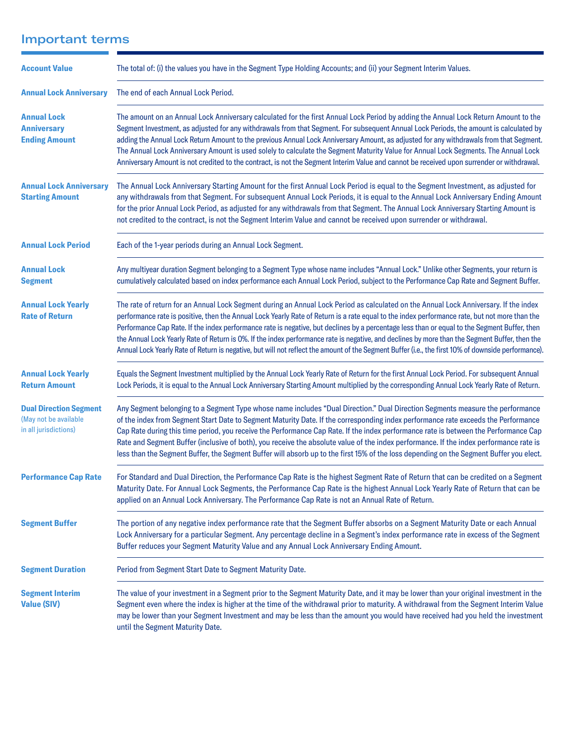# Important terms

| <b>Account Value</b>                                                            | The total of: (i) the values you have in the Segment Type Holding Accounts; and (ii) your Segment Interim Values.                                                                                                                                                                                                                                                                                                                                                                                                                                                                                                                                                                                                                               |
|---------------------------------------------------------------------------------|-------------------------------------------------------------------------------------------------------------------------------------------------------------------------------------------------------------------------------------------------------------------------------------------------------------------------------------------------------------------------------------------------------------------------------------------------------------------------------------------------------------------------------------------------------------------------------------------------------------------------------------------------------------------------------------------------------------------------------------------------|
| <b>Annual Lock Anniversary</b>                                                  | The end of each Annual Lock Period.                                                                                                                                                                                                                                                                                                                                                                                                                                                                                                                                                                                                                                                                                                             |
| <b>Annual Lock</b><br><b>Anniversary</b><br><b>Ending Amount</b>                | The amount on an Annual Lock Anniversary calculated for the first Annual Lock Period by adding the Annual Lock Return Amount to the<br>Segment Investment, as adjusted for any withdrawals from that Segment. For subsequent Annual Lock Periods, the amount is calculated by<br>adding the Annual Lock Return Amount to the previous Annual Lock Anniversary Amount, as adjusted for any withdrawals from that Segment.<br>The Annual Lock Anniversary Amount is used solely to calculate the Segment Maturity Value for Annual Lock Segments. The Annual Lock<br>Anniversary Amount is not credited to the contract, is not the Segment Interim Value and cannot be received upon surrender or withdrawal.                                    |
| <b>Annual Lock Anniversary</b><br><b>Starting Amount</b>                        | The Annual Lock Anniversary Starting Amount for the first Annual Lock Period is equal to the Segment Investment, as adjusted for<br>any withdrawals from that Segment. For subsequent Annual Lock Periods, it is equal to the Annual Lock Anniversary Ending Amount<br>for the prior Annual Lock Period, as adjusted for any withdrawals from that Segment. The Annual Lock Anniversary Starting Amount is<br>not credited to the contract, is not the Segment Interim Value and cannot be received upon surrender or withdrawal.                                                                                                                                                                                                               |
| <b>Annual Lock Period</b>                                                       | Each of the 1-year periods during an Annual Lock Segment.                                                                                                                                                                                                                                                                                                                                                                                                                                                                                                                                                                                                                                                                                       |
| <b>Annual Lock</b><br><b>Segment</b>                                            | Any multiyear duration Segment belonging to a Segment Type whose name includes "Annual Lock." Unlike other Segments, your return is<br>cumulatively calculated based on index performance each Annual Lock Period, subject to the Performance Cap Rate and Segment Buffer.                                                                                                                                                                                                                                                                                                                                                                                                                                                                      |
| <b>Annual Lock Yearly</b><br><b>Rate of Return</b>                              | The rate of return for an Annual Lock Segment during an Annual Lock Period as calculated on the Annual Lock Anniversary. If the index<br>performance rate is positive, then the Annual Lock Yearly Rate of Return is a rate equal to the index performance rate, but not more than the<br>Performance Cap Rate. If the index performance rate is negative, but declines by a percentage less than or equal to the Segment Buffer, then<br>the Annual Lock Yearly Rate of Return is 0%. If the index performance rate is negative, and declines by more than the Segment Buffer, then the<br>Annual Lock Yearly Rate of Return is negative, but will not reflect the amount of the Segment Buffer (i.e., the first 10% of downside performance). |
| <b>Annual Lock Yearly</b><br><b>Return Amount</b>                               | Equals the Segment Investment multiplied by the Annual Lock Yearly Rate of Return for the first Annual Lock Period. For subsequent Annual<br>Lock Periods, it is equal to the Annual Lock Anniversary Starting Amount multiplied by the corresponding Annual Lock Yearly Rate of Return.                                                                                                                                                                                                                                                                                                                                                                                                                                                        |
| <b>Dual Direction Segment</b><br>(May not be available<br>in all jurisdictions) | Any Segment belonging to a Segment Type whose name includes "Dual Direction." Dual Direction Segments measure the performance<br>of the index from Segment Start Date to Segment Maturity Date. If the corresponding index performance rate exceeds the Performance<br>Cap Rate during this time period, you receive the Performance Cap Rate. If the index performance rate is between the Performance Cap<br>Rate and Segment Buffer (inclusive of both), you receive the absolute value of the index performance. If the index performance rate is<br>less than the Segment Buffer, the Segment Buffer will absorb up to the first 15% of the loss depending on the Segment Buffer you elect.                                                |
| <b>Performance Cap Rate</b>                                                     | For Standard and Dual Direction, the Performance Cap Rate is the highest Segment Rate of Return that can be credited on a Segment<br>Maturity Date. For Annual Lock Segments, the Performance Cap Rate is the highest Annual Lock Yearly Rate of Return that can be<br>applied on an Annual Lock Anniversary. The Performance Cap Rate is not an Annual Rate of Return.                                                                                                                                                                                                                                                                                                                                                                         |
| <b>Segment Buffer</b>                                                           | The portion of any negative index performance rate that the Segment Buffer absorbs on a Segment Maturity Date or each Annual<br>Lock Anniversary for a particular Segment. Any percentage decline in a Segment's index performance rate in excess of the Segment<br>Buffer reduces your Segment Maturity Value and any Annual Lock Anniversary Ending Amount.                                                                                                                                                                                                                                                                                                                                                                                   |
| <b>Segment Duration</b>                                                         | Period from Segment Start Date to Segment Maturity Date.                                                                                                                                                                                                                                                                                                                                                                                                                                                                                                                                                                                                                                                                                        |
| <b>Segment Interim</b><br><b>Value (SIV)</b>                                    | The value of your investment in a Segment prior to the Segment Maturity Date, and it may be lower than your original investment in the<br>Segment even where the index is higher at the time of the withdrawal prior to maturity. A withdrawal from the Segment Interim Value<br>may be lower than your Segment Investment and may be less than the amount you would have received had you held the investment<br>until the Segment Maturity Date.                                                                                                                                                                                                                                                                                              |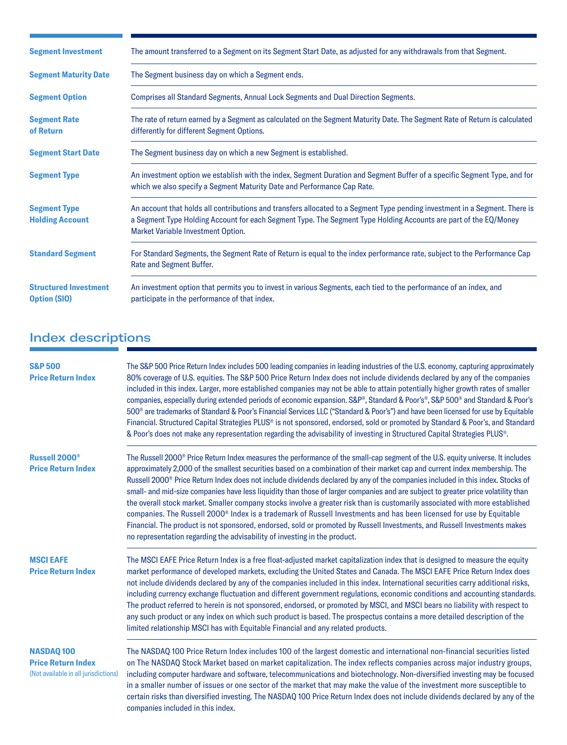| <b>Segment Investment</b>                           | The amount transferred to a Segment on its Segment Start Date, as adjusted for any withdrawals from that Segment.                                                                                                                                                                     |
|-----------------------------------------------------|---------------------------------------------------------------------------------------------------------------------------------------------------------------------------------------------------------------------------------------------------------------------------------------|
| <b>Segment Maturity Date</b>                        | The Segment business day on which a Segment ends.                                                                                                                                                                                                                                     |
| <b>Segment Option</b>                               | <b>Comprises all Standard Segments, Annual Lock Segments and Dual Direction Segments.</b>                                                                                                                                                                                             |
| <b>Segment Rate</b><br>of Return                    | The rate of return earned by a Segment as calculated on the Segment Maturity Date. The Segment Rate of Return is calculated<br>differently for different Segment Options.                                                                                                             |
| <b>Segment Start Date</b>                           | The Segment business day on which a new Segment is established.                                                                                                                                                                                                                       |
| <b>Segment Type</b>                                 | An investment option we establish with the index, Segment Duration and Segment Buffer of a specific Segment Type, and for<br>which we also specify a Segment Maturity Date and Performance Cap Rate.                                                                                  |
| <b>Segment Type</b><br><b>Holding Account</b>       | An account that holds all contributions and transfers allocated to a Segment Type pending investment in a Segment. There is<br>a Segment Type Holding Account for each Segment Type. The Segment Type Holding Accounts are part of the EQ/Money<br>Market Variable Investment Option. |
| <b>Standard Segment</b>                             | For Standard Segments, the Segment Rate of Return is equal to the index performance rate, subject to the Performance Cap<br>Rate and Segment Buffer.                                                                                                                                  |
| <b>Structured Investment</b><br><b>Option (SIO)</b> | An investment option that permits you to invest in various Segments, each tied to the performance of an index, and<br>participate in the performance of that index.                                                                                                                   |

# Index descriptions

| <b>S&amp;P 500</b><br><b>Price Return Index</b>                                       | The S&P 500 Price Return Index includes 500 leading companies in leading industries of the U.S. economy, capturing approximately<br>80% coverage of U.S. equities. The S&P 500 Price Return Index does not include dividends declared by any of the companies<br>included in this index. Larger, more established companies may not be able to attain potentially higher growth rates of smaller<br>companies, especially during extended periods of economic expansion. S&P®, Standard & Poor's®, S&P 500® and Standard & Poor's<br>500 <sup>®</sup> are trademarks of Standard & Poor's Financial Services LLC ("Standard & Poor's") and have been licensed for use by Equitable<br>Financial. Structured Capital Strategies PLUS® is not sponsored, endorsed, sold or promoted by Standard & Poor's, and Standard<br>& Poor's does not make any representation regarding the advisability of investing in Structured Capital Strategies PLUS®.                                                                                          |
|---------------------------------------------------------------------------------------|--------------------------------------------------------------------------------------------------------------------------------------------------------------------------------------------------------------------------------------------------------------------------------------------------------------------------------------------------------------------------------------------------------------------------------------------------------------------------------------------------------------------------------------------------------------------------------------------------------------------------------------------------------------------------------------------------------------------------------------------------------------------------------------------------------------------------------------------------------------------------------------------------------------------------------------------------------------------------------------------------------------------------------------------|
| Russell 2000 <sup>®</sup><br><b>Price Return Index</b>                                | The Russell 2000 <sup>®</sup> Price Return Index measures the performance of the small-cap segment of the U.S. equity universe. It includes<br>approximately 2,000 of the smallest securities based on a combination of their market cap and current index membership. The<br>Russell 2000 <sup>®</sup> Price Return Index does not include dividends declared by any of the companies included in this index. Stocks of<br>small- and mid-size companies have less liquidity than those of larger companies and are subject to greater price volatility than<br>the overall stock market. Smaller company stocks involve a greater risk than is customarily associated with more established<br>companies. The Russell 2000 <sup>®</sup> Index is a trademark of Russell Investments and has been licensed for use by Equitable<br>Financial. The product is not sponsored, endorsed, sold or promoted by Russell Investments, and Russell Investments makes<br>no representation regarding the advisability of investing in the product. |
| <b>MSCI EAFE</b><br><b>Price Return Index</b>                                         | The MSCI EAFE Price Return Index is a free float-adjusted market capitalization index that is designed to measure the equity<br>market performance of developed markets, excluding the United States and Canada. The MSCI EAFE Price Return Index does<br>not include dividends declared by any of the companies included in this index. International securities carry additional risks,<br>including currency exchange fluctuation and different government regulations, economic conditions and accounting standards.<br>The product referred to herein is not sponsored, endorsed, or promoted by MSCI, and MSCI bears no liability with respect to<br>any such product or any index on which such product is based. The prospectus contains a more detailed description of the<br>limited relationship MSCI has with Equitable Financial and any related products.                                                                                                                                                                    |
| <b>NASDAQ100</b><br><b>Price Return Index</b><br>(Not available in all jurisdictions) | The NASDAQ 100 Price Return Index includes 100 of the largest domestic and international non-financial securities listed<br>on The NASDAQ Stock Market based on market capitalization. The index reflects companies across major industry groups,<br>including computer hardware and software, telecommunications and biotechnology. Non-diversified investing may be focused<br>in a smaller number of issues or one sector of the market that may make the value of the investment more susceptible to<br>certain risks than diversified investing. The NASDAQ 100 Price Return Index does not include dividends declared by any of the                                                                                                                                                                                                                                                                                                                                                                                                  |

companies included in this index.